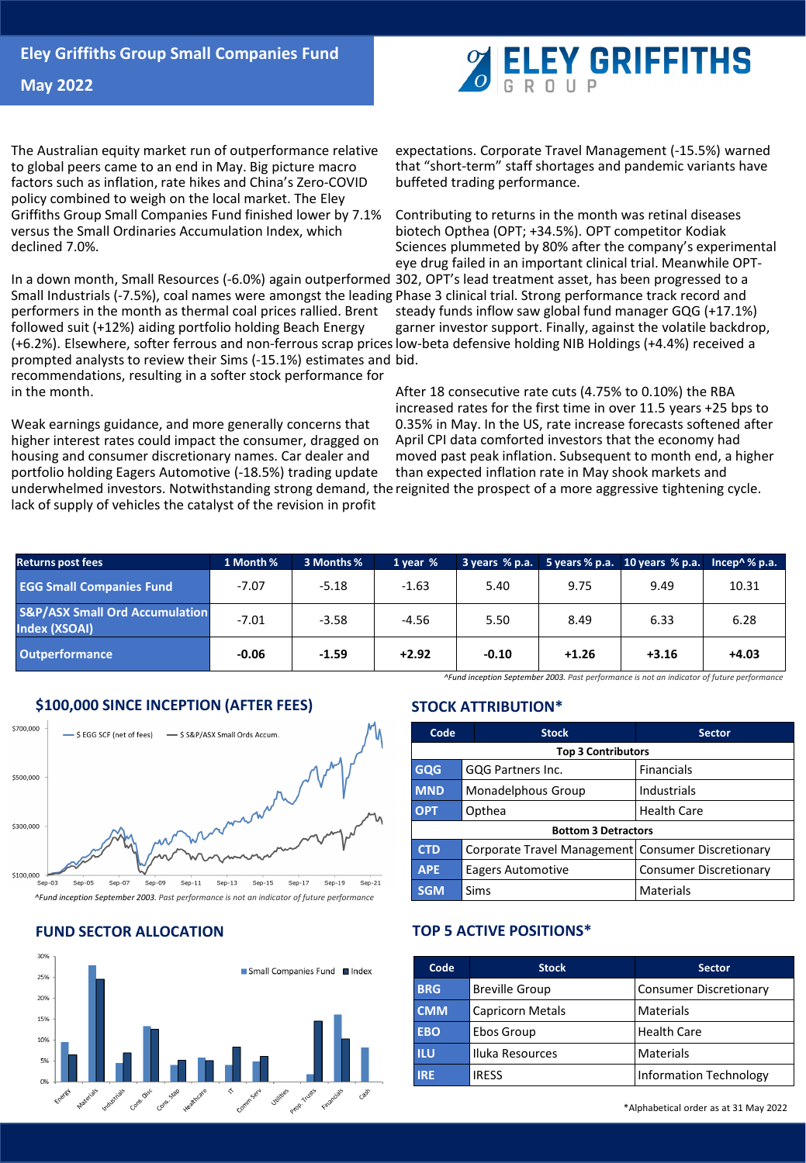

**May 2022**

The Australian equity market run of outperformance relative to global peers came to an end in May. Big picture macro factors such as inflation, rate hikes and China's Zero-COVID policy combined to weigh on the local market. The Eley Griffiths Group Small Companies Fund finished lower by 7.1% versus the Small Ordinaries Accumulation Index, which declined 7.0%.

In a down month, Small Resources (-6.0%) again outperformed Small Industrials (-7.5%), coal names were amongst the leading Phase 3 clinical trial. Strong performance track record and performers in the month as thermal coal prices rallied. Brent followed suit (+12%) aiding portfolio holding Beach Energy (+6.2%). Elsewhere, softer ferrous and non-ferrous scrap prices low-beta defensive holding NIB Holdings (+4.4%) received a prompted analysts to review their Sims (-15.1%) estimates and bid. recommendations, resulting in a softer stock performance for in the month.

Weak earnings guidance, and more generally concerns that higher interest rates could impact the consumer, dragged on housing and consumer discretionary names. Car dealer and portfolio holding Eagers Automotive (-18.5%) trading update underwhelmed investors. Notwithstanding strong demand, the reignited the prospect of a more aggressive tightening cycle. lack of supply of vehicles the catalyst of the revision in profit

expectations. Corporate Travel Management (-15.5%) warned that "short-term" staff shortages and pandemic variants have buffeted trading performance.

Contributing to returns in the month was retinal diseases biotech Opthea (OPT; +34.5%). OPT competitor Kodiak Sciences plummeted by 80% after the company's experimental eye drug failed in an important clinical trial. Meanwhile OPT-302, OPT's lead treatment asset, has been progressed to a steady funds inflow saw global fund manager GQG (+17.1%) garner investor support. Finally, against the volatile backdrop,

After 18 consecutive rate cuts (4.75% to 0.10%) the RBA increased rates for the first time in over 11.5 years +25 bps to 0.35% in May. In the US, rate increase forecasts softened after April CPI data comforted investors that the economy had moved past peak inflation. Subsequent to month end, a higher than expected inflation rate in May shook markets and

| <b>Returns post fees</b>                                   | 1 Month % | 3 Months % | 1 year % | 3 years % p.a. |         | 5 years % p.a. $10$ years % p.a. | Incep $\wedge \mathcal{C}$ p.a. |
|------------------------------------------------------------|-----------|------------|----------|----------------|---------|----------------------------------|---------------------------------|
| <b>EGG Small Companies Fund</b>                            | $-7.07$   | $-5.18$    | $-1.63$  | 5.40           | 9.75    | 9.49                             | 10.31                           |
| <b>S&amp;P/ASX Small Ord Accumulation</b><br>Index (XSOAI) | $-7.01$   | $-3.58$    | $-4.56$  | 5.50           | 8.49    | 6.33                             | 6.28                            |
| <b>Outperformance</b>                                      | $-0.06$   | $-1.59$    | $+2.92$  | $-0.10$        | $+1.26$ | $+3.16$                          | $+4.03$                         |



# **\$100,000 SINCE INCEPTION (AFTER FEES)**



*^Fund inception September 2003. Past performance is not an indicator of future performance*

# **FUND SECTOR ALLOCATION**



# **STOCK ATTRIBUTION\***

| Code                       | <b>Stock</b>                                         | <b>Sector</b>                 |  |  |  |
|----------------------------|------------------------------------------------------|-------------------------------|--|--|--|
| <b>Top 3 Contributors</b>  |                                                      |                               |  |  |  |
| <b>GQG</b>                 | GQG Partners Inc.                                    | <b>Financials</b>             |  |  |  |
| <b>MND</b>                 | Monadelphous Group                                   | Industrials                   |  |  |  |
| <b>OPT</b>                 | Opthea                                               | <b>Health Care</b>            |  |  |  |
| <b>Bottom 3 Detractors</b> |                                                      |                               |  |  |  |
| <b>CTD</b>                 | Corporate Travel Management   Consumer Discretionary |                               |  |  |  |
| <b>APE</b>                 | Eagers Automotive                                    | <b>Consumer Discretionary</b> |  |  |  |
| <b>SGM</b>                 | Sims                                                 | Materials                     |  |  |  |

# **TOP 5 ACTIVE POSITIONS\***

| Code       | <b>Stock</b>            | <b>Sector</b>                 |  |  |
|------------|-------------------------|-------------------------------|--|--|
| <b>BRG</b> | <b>Breville Group</b>   | Consumer Discretionary        |  |  |
| <b>CMM</b> | <b>Capricorn Metals</b> | Materials                     |  |  |
| <b>EBO</b> | Ebos Group              | <b>Health Care</b>            |  |  |
| <b>ILU</b> | Iluka Resources         | Materials                     |  |  |
| <b>IRE</b> | <b>IRESS</b>            | <b>Information Technology</b> |  |  |

\*Alphabetical order as at 31 May 2022